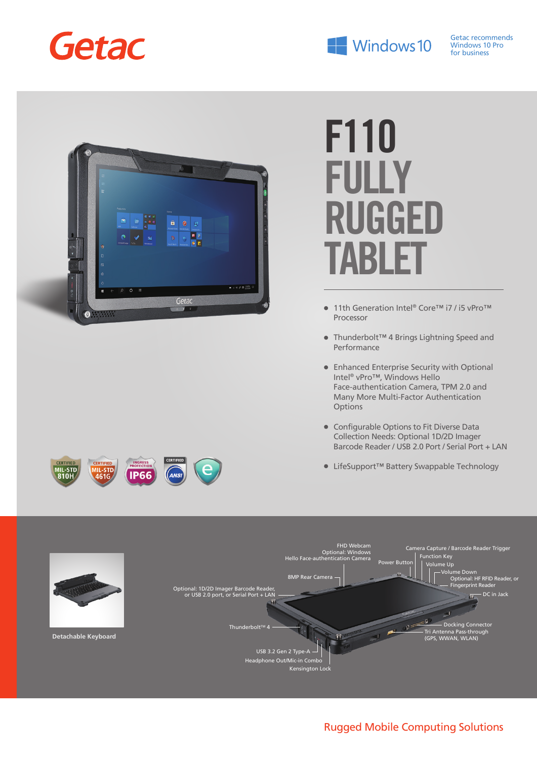



# **F110 FULLY RUGGED TABLE**

- 11th Generation Intel® Core™ i7 / i5 vPro™ Processor
- Thunderbolt™ 4 Brings Lightning Speed and Performance
- Enhanced Enterprise Security with Optional Intel® vPro™, Windows Hello Face-authentication Camera, TPM 2.0 and Many More Multi-Factor Authentication Options
- Configurable Options to Fit Diverse Data Collection Needs: Optional 1D/2D Imager Barcode Reader / USB 2.0 Port / Serial Port + LAN
- LifeSupport™ Battery Swappable Technology



## Rugged Mobile Computing Solutions